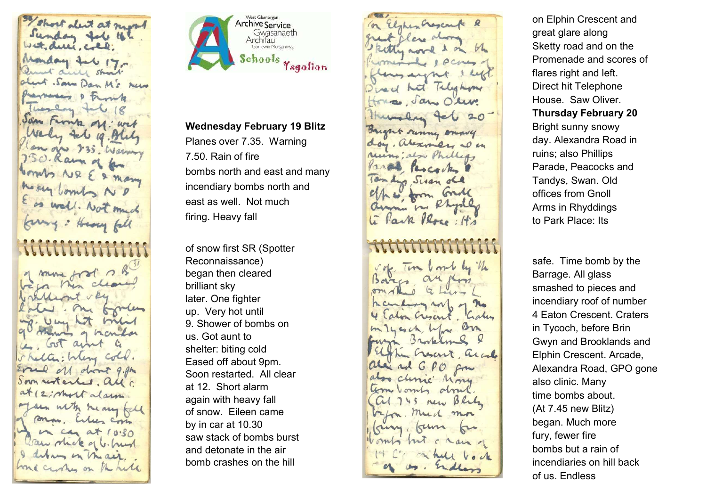That deit at night Sunday fol 16% Wet, due, cold; Monday tel 17 Quant dill short about . Saw Dan M's New Prevences & Front Thoselay fal Jan Frontz of: wit Wely tel ig. Blug lan oju 235. Warnery 750. Ram of for ternts NR E & Many Money lowels ND as well. Not much formy : Heavy fall of some ford ? in then clear *Mathemat* mp. Um hat me Mining of hands L Got ains shelter: Mung Cold. Eral of don't 9. Am Soon restarted. all c at 12; most alarm Jan with heavy fall sono, When com in can at 10.30 Can shot of b. hund I deban in the air. house curing on the held



## Wednesday February 19 Blitz

Planes over 7.35. Warning 7.50. Rain of fire bombs north and east and many incendiary bombs north and east as well. Not much firing. Heavy fall

of snow first SR (Spotter Reconnaissance) began then cleared brilliant sky later. One fighter up. Very hot until 9. Shower of bombs on us. Got aunt to shelter: biting cold Eased off about 9pm. Soon restarted. All clear at 12. Short alarm again with heavy fall of snow. Eileen came by in car at 10.30 saw stack of bombs burst and detonate in the air bomb crashes on the hill

In Elshis hoscrife & great class also Ritty word & on  $b^{\prime}$ 6 1 PCMM flanguagns Direct hat Talyshow House, Jan Olive Humaly fel 20 Sargent renny enough day, alexandre al en ruins; also Phillips Vare Percorte 10m days Sisan old c/h & form Gull arm in Rhyd Li Park Rose: 143 vote Time und by the Barca au pon  $Q$ Kculing rol or no Lalon Crescent, Calen m 14 esch. Who Bon own Brookling Elpha Crocert, and alex and GPO from also clinic Mong am vomt dont Cal 745 new Blues befor, much mor

king, kun ku

Womly hut c main

on Elphin Crescent and great glare along Sketty road and on the Promenade and scores of flares right and left. Direct hit Telephone House. Saw Oliver. Thursday February 20 Bright sunny snowy day. Alexandra Road in ruins; also Phillips Parade, Peacocks and Tandys, Swan. Old offices from Gnoll Arms in Rhyddings to Park Place: Its

safe. Time bomb by the Barrage. All glass smashed to pieces and incendiary roof of number 4 Eaton Crescent. Craters in Tycoch, before Brin Gwyn and Brooklands and Elphin Crescent. Arcade, Alexandra Road, GPO gone also clinic. Many time bombs about. (At 7.45 new Blitz) began. Much more fury, fewer fire bombs but a rain of incendiaries on hill back of us. Endless